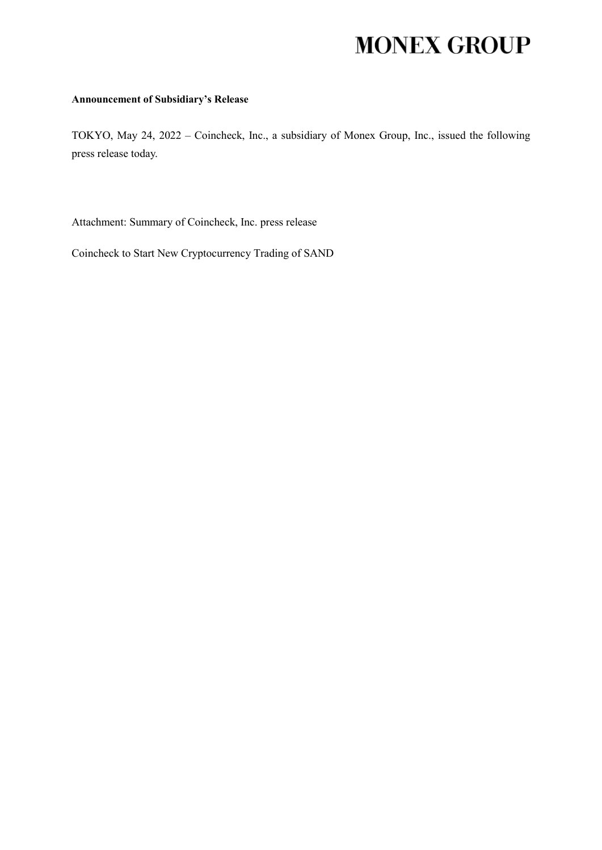# **MONEX GROUP**

## **Announcement of Subsidiary's Release**

TOKYO, May 24, 2022 – Coincheck, Inc., a subsidiary of Monex Group, Inc., issued the following press release today.

Attachment: Summary of Coincheck, Inc. press release

Coincheck to Start New Cryptocurrency Trading of SAND